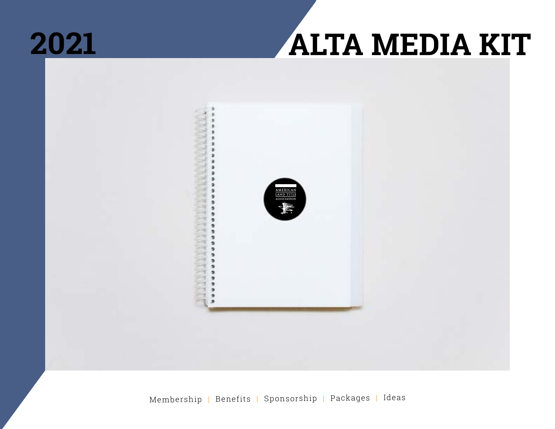

### **ALTA MEDIA KIT**

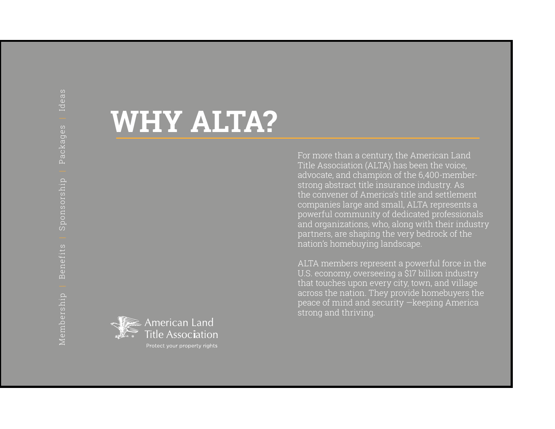### **WHY ALTA?**

For more than a century, the American Land Title Association (ALTA) has been the voice, advocate, and champion of the 6,400-memberstrong abstract title insurance industry. As the convener of America's title and settlement companies large and small, ALTA represents a powerful community of dedicated professionals and organizations, who, along with their industry partners, are shaping the very bedrock of the nation's homebuying landscape.

ALTA members represent a powerful force in the U.S. economy, overseeing a \$17 billion industry that touches upon every city, town, and village across the nation. They provide homebuyers the peace of mind and security —keeping America strong and thriving.

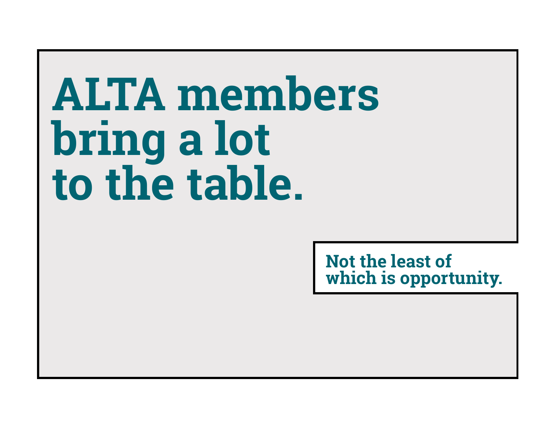# **ALTA members bring a lot to the table.**

**Not the least of which is opportunity.**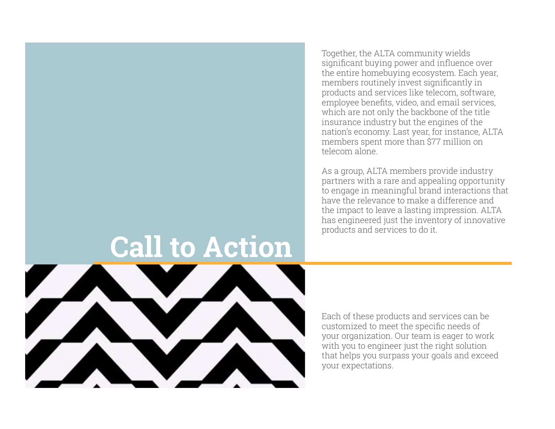**Call to Action**



Each of these products and services can be customized to meet the specific needs of your organization. Our team is eager to work with you to engineer just the right solution that helps you surpass your goals and exceed your expectations.

significant buying power and influence over the entire homebuying ecosystem. Each year, members routinely invest significantly in products and services like telecom, software, employee benefits, video, and email services, which are not only the backbone of the title insurance industry but the engines of the nation's economy. Last year, for instance, ALTA members spent more than \$77 million on telecom alone.

Together, the ALTA community wields

As a group, ALTA members provide industry partners with a rare and appealing opportunity to engage in meaningful brand interactions that have the relevance to make a difference and the impact to leave a lasting impression. ALTA has engineered just the inventory of innovative products and services to do it.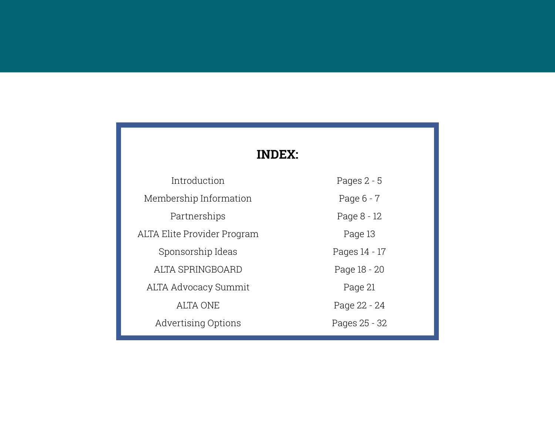### **INDEX:**

| Introduction                | Pages $2 - 5$ |
|-----------------------------|---------------|
| Membership Information      | Page 6 - 7    |
| Partnerships                | Page 8 - 12   |
| ALTA Elite Provider Program | Page 13       |
| Sponsorship Ideas           | Pages 14 - 17 |
| ALTA SPRINGBOARD            | Page 18 - 20  |
| <b>ALTA Advocacy Summit</b> | Page 21       |
| ALTA ONE                    | Page 22 - 24  |
| <b>Advertising Options</b>  | Pages 25 - 32 |
|                             |               |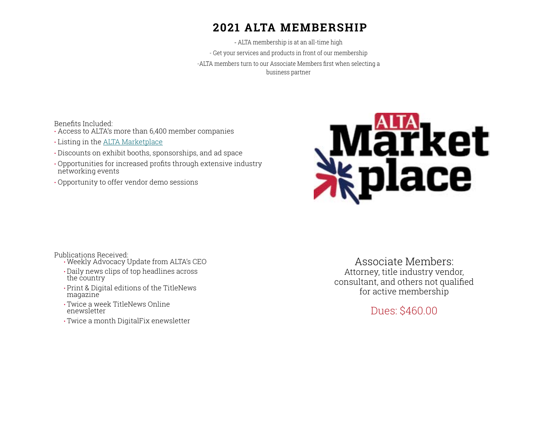### **2021 ALTA MEMBERSHIP**

- ALTA membership is at an all-time high - Get your services and products in front of our membership -ALTA members turn to our Associate Members first when selecting a business partner

Benefits Included:

- Access to ALTA's more than 6,400 member companies
- Listing in the [ALTA Marketplace](https://www.alta.org/marketplace/)
- Discounts on exhibit booths, sponsorships, and ad space
- Opportunities for increased profits through extensive industry networking events
- Opportunity to offer vendor demo sessions



Publications Received:

- Weekly Advocacy Update from ALTA's CEO • Daily news clips of top headlines across the country
- Print & Digital editions of the TitleNews magazine
- Twice a week TitleNews Online enewsletter
- Twice a month DigitalFix enewsletter

Associate Members: Attorney, title industry vendor, consultant, and others not qualified for active membership

Dues: \$460.00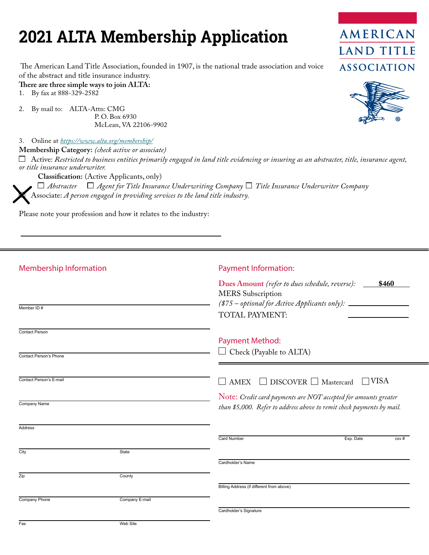### **2021 ALTA Membership Application**

 The American Land Title Association, founded in 1907, is the national trade association and voice of the abstract and title insurance industry.

**There are three simple ways to join ALTA:**<br>1. By fax at 888-329-2582

By fax at 888-329-2582

2. By mail to: ALTA-Attn: CMG P. O. Box 6930 McLean, VA 22106-9902

3. Online at *<https://www.alta.org/membership/>*

**Membership Category:** *(check active or associate)*

 Active: *Restricted to business entities primarily engaged in land title evidencing or insuring as an abstracter, title, insurance agent, or title insurance underwriter.*

**Classification:** (Active Applicants, only)

 $\Box$  Abstracter  $\Box$  Agent for Title Insurance Underwriting Company  $\Box$  Title Insurance Underwriter Company Associate: *A person engaged in providing services to the land title industry.* 

Please note your profession and how it relates to the industry:

| <b>Membership Information</b>                   |                | <b>Payment Information:</b>                                                                                                                                      |
|-------------------------------------------------|----------------|------------------------------------------------------------------------------------------------------------------------------------------------------------------|
| Member ID#                                      |                | Dues Amount (refer to dues schedule, reverse): __<br>\$460<br><b>MERS</b> Subscription<br>(\$75 – optional for Active Applicants only): ______<br>TOTAL PAYMENT: |
| <b>Contact Person</b><br>Contact Person's Phone |                | <b>Payment Method:</b><br>Check (Payable to ALTA)                                                                                                                |
| Contact Person's E-mail                         |                | <b>TVISA</b><br>AMEX $\Box$ DISCOVER $\Box$ Mastercard                                                                                                           |
| Company Name                                    |                | Note: Credit card payments are NOT accepted for amounts greater<br>than \$5,000. Refer to address above to remit check payments by mail.                         |
| <b>Address</b>                                  |                | <b>Card Number</b><br>Exp. Date<br>csv#                                                                                                                          |
| City                                            | State          | Cardholder's Name                                                                                                                                                |
| Zip                                             | County         | Billing Address (if different from above)                                                                                                                        |
| Company Phone                                   | Company E-mail | Cardholder's Signature                                                                                                                                           |
| Fax                                             | Web Site       |                                                                                                                                                                  |



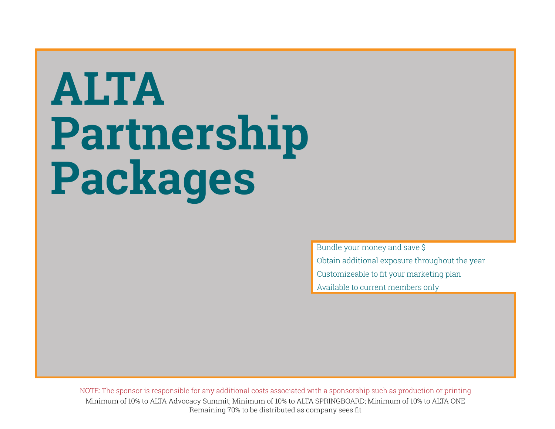# **ALTA Partnership Packages**

Bundle your money and save \$ Obtain additional exposure throughout the year Customizeable to fit your marketing plan Available to current members only

Minimum of 10% to ALTA Advocacy Summit; Minimum of 10% to ALTA SPRINGBOARD; Minimum of 10% to ALTA ONE Remaining 70% to be distributed as company sees fit NOTE: The sponsor is responsible for any additional costs associated with a sponsorship such as production or printing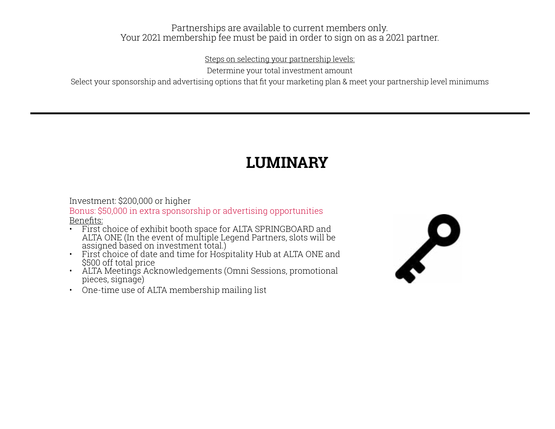### Partnerships are available to current members only. Your 2021 membership fee must be paid in order to sign on as a 2021 partner.

Steps on selecting your partnership levels:

Determine your total investment amount

Select your sponsorship and advertising options that fit your marketing plan & meet your partnership level minimums

### **LUMINARY**

### Investment: \$200,000 or higher

Bonus: \$50,000 in extra sponsorship or advertising opportunities Benefits:

- First choice of exhibit booth space for ALTA SPRINGBOARD and ALTA ONE (In the event of multiple Legend Partners, slots will be
- assigned based on investment total.) First choice of date and time for Hospitality Hub at ALTA ONE and \$500 off total price • ALTA Meetings Acknowledgements (Omni Sessions, promotional
- pieces, signage)
- One-time use of ALTA membership mailing list

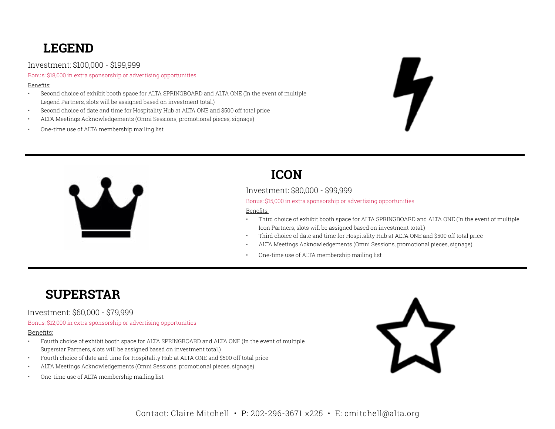### **LEGEND**

Investment: \$100,000 - \$199,999

Bonus: \$18,000 in extra sponsorship or advertising opportunities

#### Benefits:

- Second choice of exhibit booth space for ALTA SPRINGBOARD and ALTA ONE (In the event of multiple Legend Partners, slots will be assigned based on investment total.)
- Second choice of date and time for Hospitality Hub at ALTA ONE and \$500 off total price
- ALTA Meetings Acknowledgements (Omni Sessions, promotional pieces, signage)
- One-time use of ALTA membership mailing list





### **ICON**

Investment: \$80,000 - \$99,999

Bonus: \$15,000 in extra sponsorship or advertising opportunities

#### Benefits:

- Third choice of exhibit booth space for ALTA SPRINGBOARD and ALTA ONE (In the event of multiple Icon Partners, slots will be assigned based on investment total.)
- Third choice of date and time for Hospitality Hub at ALTA ONE and \$500 off total price
- ALTA Meetings Acknowledgements (Omni Sessions, promotional pieces, signage)
- One-time use of ALTA membership mailing list

### **SUPERSTAR**

#### Investment: \$60,000 - \$79,999

Bonus: \$12,000 in extra sponsorship or advertising opportunities

#### Benefits:

- Fourth choice of exhibit booth space for ALTA SPRINGBOARD and ALTA ONE (In the event of multiple Superstar Partners, slots will be assigned based on investment total.)
- Fourth choice of date and time for Hospitality Hub at ALTA ONE and \$500 off total price
- ALTA Meetings Acknowledgements (Omni Sessions, promotional pieces, signage)
- One-time use of ALTA membership mailing list

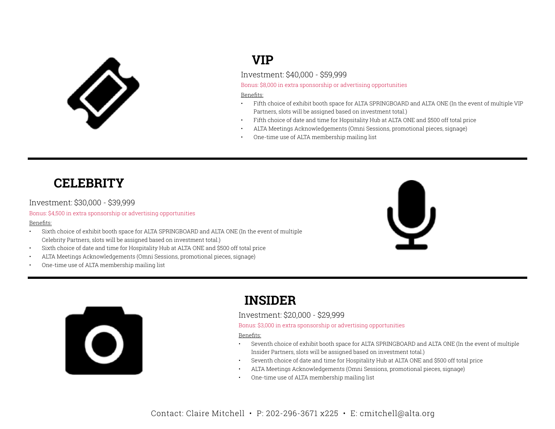

### **VIP**

Investment: \$40,000 - \$59,999

Bonus: \$8,000 in extra sponsorship or advertising opportunities

#### Benefits:

- Fifth choice of exhibit booth space for ALTA SPRINGBOARD and ALTA ONE (In the event of multiple VIP Partners, slots will be assigned based on investment total.)
- Fifth choice of date and time for Hopsitality Hub at ALTA ONE and \$500 off total price
- ALTA Meetings Acknowledgements (Omni Sessions, promotional pieces, signage)
- One-time use of ALTA membership mailing list

### **CELEBRITY**

#### Investment: \$30,000 - \$39,999

#### Bonus: \$4,500 in extra sponsorship or advertising opportunities

#### Benefits:

- Sixth choice of exhibit booth space for ALTA SPRINGBOARD and ALTA ONE (In the event of multiple Celebrity Partners, slots will be assigned based on investment total.)
- Sixth choice of date and time for Hospitality Hub at ALTA ONE and \$500 off total price
- ALTA Meetings Acknowledgements (Omni Sessions, promotional pieces, signage)
- One-time use of ALTA membership mailing list





### **INSIDER**

#### Investment: \$20,000 - \$29,999

Bonus: \$3,000 in extra sponsorship or advertising opportunities

#### Benefits:

- Seventh choice of exhibit booth space for ALTA SPRINGBOARD and ALTA ONE (In the event of multiple Insider Partners, slots will be assigned based on investment total.)
- Seventh choice of date and time for Hospitality Hub at ALTA ONE and \$500 off total price
- ALTA Meetings Acknowledgements (Omni Sessions, promotional pieces, signage)
- One-time use of ALTA membership mailing list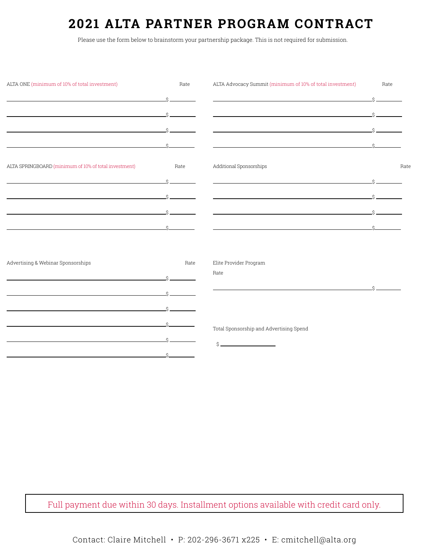### **2021 ALTA PARTNER PROGRAM CONTRACT**

Please use the form below to brainstorm your partnership package. This is not required for submission.

| ALTA ONE (minimum of 10% of total investment)                                                                         | Rate                  | ALTA Advocacy Summit (minimum of 10% of total investment)                                                                                                                                                                     | Rate            |      |
|-----------------------------------------------------------------------------------------------------------------------|-----------------------|-------------------------------------------------------------------------------------------------------------------------------------------------------------------------------------------------------------------------------|-----------------|------|
|                                                                                                                       | $\hat{S}$             | <u>se a componente de la componente de la componente de la componente de la componente de la componente de la com</u>                                                                                                         | $\hat{S}$       |      |
| <u> 1989 - Johann Stein, marwolaethau a bhann an t-Albann an t-Albann an t-Albann an t-Albann an t-Albann an t-Al</u> | Ś.                    | <u> 1989 - Johann Stoff, deutscher Stoffen und der Stoffen und der Stoffen und der Stoffen und der Stoffen und der</u>                                                                                                        |                 |      |
| <u> 1989 - Johann Stoff, amerikansk politiker (d. 1989)</u>                                                           |                       | <u> 1989 - Johann Stein, marwolaethau a bhann an t-Amhair ann an t-Amhair an t-Amhair an t-Amhair an t-Amhair an </u>                                                                                                         |                 |      |
|                                                                                                                       |                       |                                                                                                                                                                                                                               |                 |      |
| ALTA SPRINGBOARD (minimum of 10% of total investment)                                                                 | Rate                  | Additional Sponsorships                                                                                                                                                                                                       |                 | Rate |
|                                                                                                                       | $S = \square$         | the control of the control of the control of the control of the control of the control of the control of the control of the control of the control of the control of the control of the control of the control of the control | $\mathcal{S} =$ |      |
|                                                                                                                       |                       | <u> 1989 - Johann Harry Harry Harry Harry Harry Harry Harry Harry Harry Harry Harry Harry Harry Harry Harry Harry</u>                                                                                                         |                 |      |
|                                                                                                                       | $S \sim 1$<br>$\zeta$ | <u> 1989 - Johann Stoff, amerikansk politiker (d. 1989)</u>                                                                                                                                                                   | $\zeta$         |      |
|                                                                                                                       |                       |                                                                                                                                                                                                                               |                 |      |
|                                                                                                                       |                       |                                                                                                                                                                                                                               |                 |      |
| Advertising & Webinar Sponsorships                                                                                    | Rate<br>$\zeta$       | Elite Provider Program<br>Rate                                                                                                                                                                                                |                 |      |
|                                                                                                                       |                       |                                                                                                                                                                                                                               | $\mathcal{S}$   |      |
| <u> 1989 - Johann Stein, mars an deus an deus an deus an deus an deus an deus an deus an deus an deus an deus an</u>  | $\hat{S}$             |                                                                                                                                                                                                                               |                 |      |
| the control of the control of the control of the control of the control of                                            |                       |                                                                                                                                                                                                                               |                 |      |
|                                                                                                                       | $\hat{S}$             | Total Sponsorship and Advertising Spend<br>Ś.                                                                                                                                                                                 |                 |      |
|                                                                                                                       | $\hat{\mathcal{S}}$   |                                                                                                                                                                                                                               |                 |      |

Full payment due within 30 days. Installment options available with credit card only.

Contact: Claire Mitchell • P: 202-296-3671 x225 • E: cmitchell@alta.org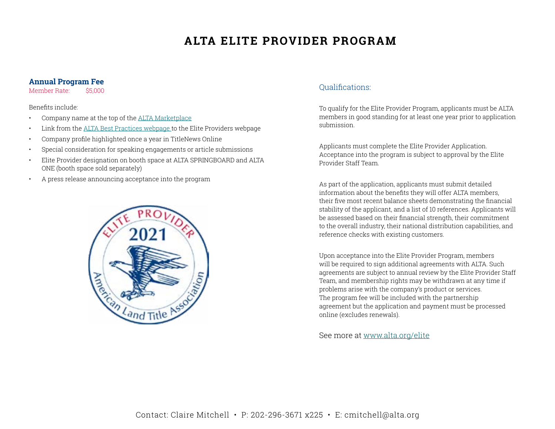### **ALTA ELITE PROVIDER PROGRAM**

#### **Annual Program Fee**

Member Rate: \$5,000

Benefits include:

- Company name at the top of the [ALTA Marketplace](https://www.alta.org/marketplace/)
- Link from the [ALTA Best Practices webpage t](https://www.alta.org/best-practices/)o the Elite Providers webpage
- Company profile highlighted once a year in TitleNews Online
- Special consideration for speaking engagements or article submissions
- Elite Provider designation on booth space at ALTA SPRINGBOARD and ALTA ONE (booth space sold separately)
- A press release announcing acceptance into the program



#### Qualifications:

To qualify for the Elite Provider Program, applicants must be ALTA members in good standing for at least one year prior to application submission.

Applicants must complete the Elite Provider Application. Acceptance into the program is subject to approval by the Elite Provider Staff Team.

As part of the application, applicants must submit detailed information about the benefits they will offer ALTA members, their five most recent balance sheets demonstrating the financial stability of the applicant, and a list of 10 references. Applicants will be assessed based on their financial strength, their commitment to the overall industry, their national distribution capabilities, and reference checks with existing customers.

Upon acceptance into the Elite Provider Program, members will be required to sign additional agreements with ALTA. Such agreements are subject to annual review by the Elite Provider Staff Team, and membership rights may be withdrawn at any time if problems arise with the company's product or services. The program fee will be included with the partnership agreement but the application and payment must be processed online (excludes renewals).

See more at [www.alta.org/elite](http://www.alta.org/marketplace)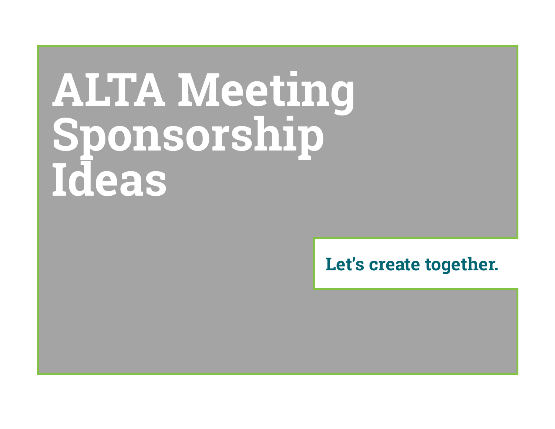# **ALTA Meeting Sponsorship Ideas**

### **Let's create together.**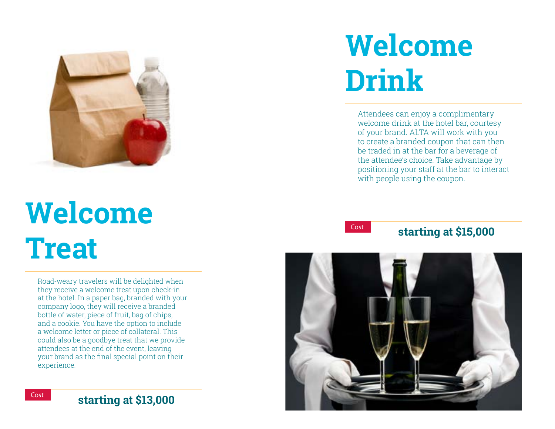

### **Welcome Treat**

Road-weary travelers will be delighted when they receive a welcome treat upon check-in at the hotel. In a paper bag, branded with your company logo, they will receive a branded bottle of water, piece of fruit, bag of chips, and a cookie. You have the option to include a welcome letter or piece of collateral. This could also be a goodbye treat that we provide attendees at the end of the event, leaving your brand as the final special point on their experience.

### **Welcome Drink**

Attendees can enjoy a complimentary welcome drink at the hotel bar, courtesy of your brand. ALTA will work with you to create a branded coupon that can then be traded in at the bar for a beverage of the attendee's choice. Take advantage by positioning your staff at the bar to interact with people using the coupon.



### **starting at \$15,000**

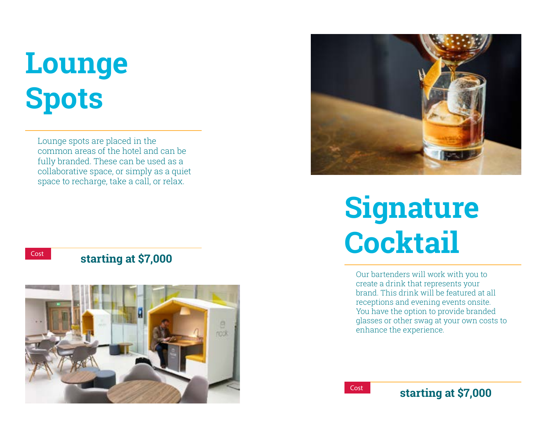### **Lounge Spots**

Lounge spots are placed in the common areas of the hotel and can be fully branded. These can be used as a collaborative space, or simply as a quiet space to recharge, take a call, or relax.

### **starting at \$7,000**





### **Signature Cocktail**

Our bartenders will work with you to create a drink that represents your brand. This drink will be featured at all receptions and evening events onsite. You have the option to provide branded glasses or other swag at your own costs to enhance the experience.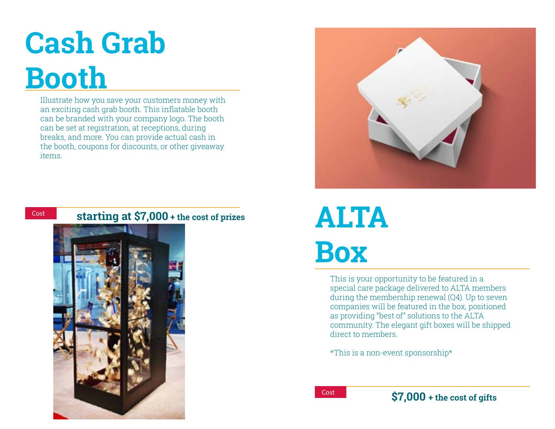### **Cash Grab Booth**

Illustrate how you save your customers money with an exciting cash grab booth. This inflatable booth can be branded with your company logo. The booth can be set at registration, at receptions, during breaks, and more. You can provide actual cash in the booth, coupons for discounts, or other giveaway items.



### Cost **starting at \$7,000 + the cost of prizes ALTA**





# **Box**

This is your opportunity to be featured in a special care package delivered to ALTA members during the membership renewal (Q4). Up to seven companies will be featured in the box, positioned as providing "best of" solutions to the ALTA community. The elegant gift boxes will be shipped direct to members.

\*This is a non-event sponsorship\*

Cost **\$7,000 + the cost of gifts**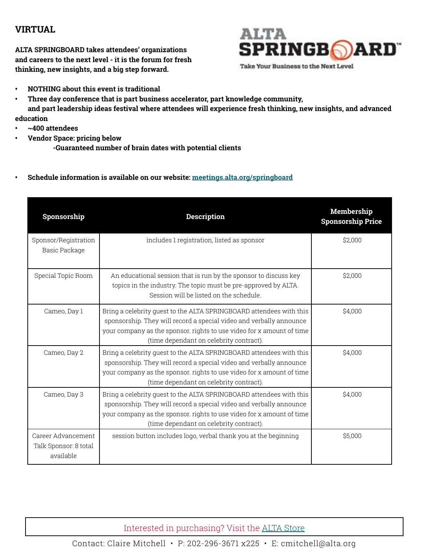### **VIRTUAL**

**ALTA SPRINGBOARD takes attendees' organizations and careers to the next level - it is the forum for fresh thinking, new insights, and a big step forward.**

### **ALTA SPRINGBOARD**

Take Your Business to the Next Level

- **• NOTHING about this event is traditional**
- **• Three day conference that is part business accelerator, part knowledge community, and part leadership ideas festival where attendees will experience fresh thinking, new insights, and advanced education**
- **• ~400 attendees**
- **• Vendor Space: pricing below**
	- **-Guaranteed number of brain dates with potential clients**
- **• Schedule information is available on our website: [meetings.alta.org/springboard](http://meetings.alta.org/springboard)**

| Sponsorship                                              | <b>Description</b>                                                                                                                                                                                                                                             | Membership<br><b>Sponsorship Price</b> |
|----------------------------------------------------------|----------------------------------------------------------------------------------------------------------------------------------------------------------------------------------------------------------------------------------------------------------------|----------------------------------------|
| Sponsor/Registration<br>Basic Package                    | includes 1 registration, listed as sponsor                                                                                                                                                                                                                     | \$2,000                                |
| Special Topic Room                                       | An educational session that is run by the sponsor to discuss key<br>topics in the industry. The topic must be pre-approved by ALTA.<br>Session will be listed on the schedule.                                                                                 | \$2,000                                |
| Cameo, Day 1                                             | Bring a celebrity quest to the ALTA SPRINGBOARD attendees with this<br>sponsorship. They will record a special video and verbally announce<br>your company as the sponsor, rights to use video for x amount of time<br>(time dependant on celebrity contract). | \$4,000                                |
| Cameo, Day 2                                             | Bring a celebrity quest to the ALTA SPRINGBOARD attendees with this<br>sponsorship. They will record a special video and verbally announce<br>your company as the sponsor. rights to use video for x amount of time<br>(time dependant on celebrity contract). | \$4,000                                |
| Cameo, Day 3                                             | Bring a celebrity quest to the ALTA SPRINGBOARD attendees with this<br>sponsorship. They will record a special video and verbally announce<br>your company as the sponsor, rights to use video for x amount of time<br>(time dependant on celebrity contract). | \$4,000                                |
| Career Advancement<br>Talk Sponsor: 8 total<br>available | session button includes logo, verbal thank you at the beginning                                                                                                                                                                                                | \$5,000                                |

Interested in purchasing? Visit the [ALTA Store](https://portal.alta.org/online-store/merchandise?category=alta%20store)

Contact: Claire Mitchell • P: 202-296-3671 x225 • E: cmitchell@alta.org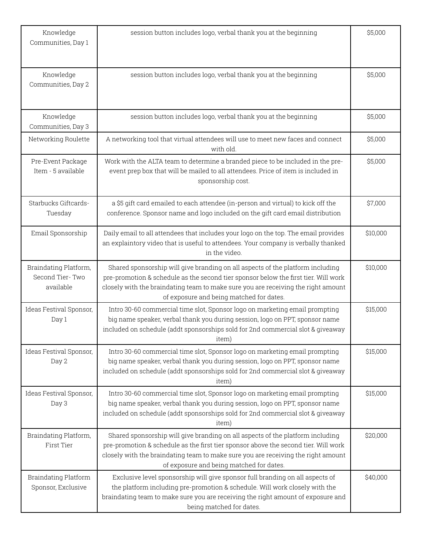| Knowledge<br>Communities, Day 1                       | session button includes logo, verbal thank you at the beginning                                                                                                                                                                                                                                        | \$5,000  |
|-------------------------------------------------------|--------------------------------------------------------------------------------------------------------------------------------------------------------------------------------------------------------------------------------------------------------------------------------------------------------|----------|
| Knowledge<br>Communities, Day 2                       | session button includes logo, verbal thank you at the beginning                                                                                                                                                                                                                                        | \$5,000  |
| Knowledge<br>Communities, Day 3                       | session button includes logo, verbal thank you at the beginning                                                                                                                                                                                                                                        | \$5,000  |
| Networking Roulette                                   | A networking tool that virtual attendees will use to meet new faces and connect<br>with old.                                                                                                                                                                                                           | \$5,000  |
| Pre-Event Package<br>Item - 5 available               | Work with the ALTA team to determine a branded piece to be included in the pre-<br>event prep box that will be mailed to all attendees. Price of item is included in<br>sponsorship cost.                                                                                                              | \$5,000  |
| Starbucks Giftcards-<br>Tuesday                       | a \$5 gift card emailed to each attendee (in-person and virtual) to kick off the<br>conference. Sponsor name and logo included on the gift card email distribution                                                                                                                                     | \$7,000  |
| Email Sponsorship                                     | Daily email to all attendees that includes your logo on the top. The email provides<br>an explaintory video that is useful to attendees. Your company is verbally thanked<br>in the video.                                                                                                             | \$10,000 |
| Braindating Platform,<br>Second Tier-Two<br>available | Shared sponsorship will give branding on all aspects of the platform including<br>pre-promotion & schedule as the second tier sponsor below the first tier. Will work<br>closely with the braindating team to make sure you are receiving the right amount<br>of exposure and being matched for dates. | \$10,000 |
| Ideas Festival Sponsor,<br>Day 1                      | Intro 30-60 commercial time slot, Sponsor logo on marketing email prompting<br>big name speaker, verbal thank you during session, logo on PPT, sponsor name<br>included on schedule (addt sponsorships sold for 2nd commercial slot & giveaway<br>item)                                                | \$15,000 |
| Ideas Festival Sponsor,<br>Day 2                      | Intro 30-60 commercial time slot, Sponsor logo on marketing email prompting<br>big name speaker, verbal thank you during session, logo on PPT, sponsor name<br>included on schedule (addt sponsorships sold for 2nd commercial slot & giveaway<br>item)                                                | \$15,000 |
| Ideas Festival Sponsor,<br>Day 3                      | Intro 30-60 commercial time slot, Sponsor logo on marketing email prompting<br>big name speaker, verbal thank you during session, logo on PPT, sponsor name<br>included on schedule (addt sponsorships sold for 2nd commercial slot & giveaway<br>item)                                                | \$15,000 |
| Braindating Platform,<br>First Tier                   | Shared sponsorship will give branding on all aspects of the platform including<br>pre-promotion & schedule as the first tier sponsor above the second tier. Will work<br>closely with the braindating team to make sure you are receiving the right amount<br>of exposure and being matched for dates. | \$20,000 |
| Braindating Platform<br>Sponsor, Exclusive            | Exclusive level sponsorship will give sponsor full branding on all aspects of<br>the platform including pre-promotion & schedule. Will work closely with the<br>braindating team to make sure you are receiving the right amount of exposure and<br>being matched for dates.                           | \$40,000 |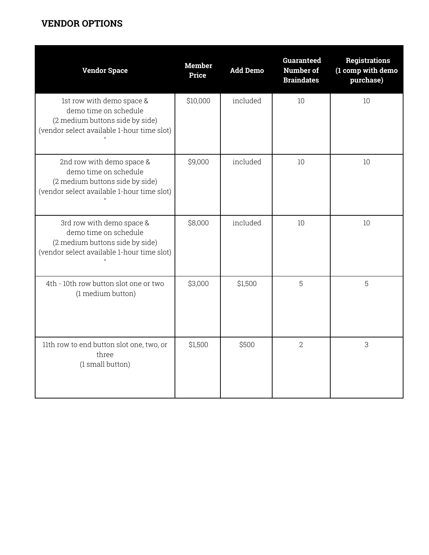### **VENDOR OPTIONS**

| <b>Vendor Space</b>                                                                                                                 | <b>Member</b><br>Price | <b>Add Demo</b> | <b>Guaranteed</b><br>Number of<br><b>Braindates</b> | <b>Registrations</b><br>(1 comp with demo<br>purchase) |
|-------------------------------------------------------------------------------------------------------------------------------------|------------------------|-----------------|-----------------------------------------------------|--------------------------------------------------------|
| 1st row with demo space &<br>demo time on schedule<br>(2 medium buttons side by side)<br>(vendor select available 1-hour time slot) | \$10,000               | included        | 10                                                  | 10                                                     |
| 2nd row with demo space &<br>demo time on schedule<br>(2 medium buttons side by side)<br>(vendor select available 1-hour time slot) | \$9,000                | included        | 10                                                  | 10                                                     |
| 3rd row with demo space &<br>demo time on schedule<br>(2 medium buttons side by side)<br>(vendor select available 1-hour time slot) | \$8,000                | included        | 10                                                  | 10                                                     |
| 4th - 10th row button slot one or two<br>(1 medium button)                                                                          | \$3,000                | \$1,500         | 5                                                   | 5                                                      |
| 11th row to end button slot one, two, or<br>three<br>(1 small button)                                                               | \$1,500                | \$500           | $\overline{2}$                                      | 3                                                      |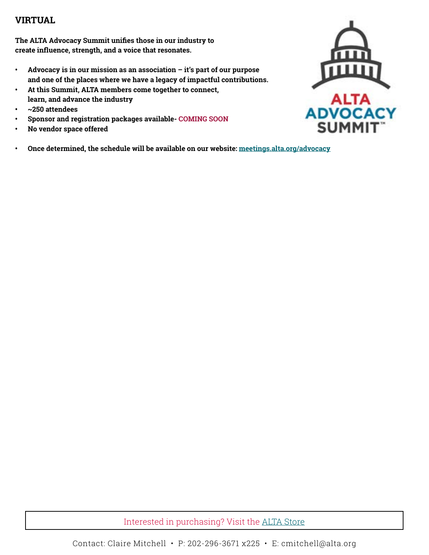### **VIRTUAL**

**The ALTA Advocacy Summit unifies those in our industry to create influence, strength, and a voice that resonates.** 

- **• Advocacy is in our mission as an association it's part of our purpose and one of the places where we have a legacy of impactful contributions.**
- **• At this Summit, ALTA members come together to connect, learn, and advance the industry**
- **• ~250 attendees**
- **• Sponsor and registration packages available- COMING SOON**
- **• No vendor space offered**
- **• Once determined, the schedule will be available on our website: [meetings.alta.org/advocacy](http://meetings.alta.org/advocacy)**

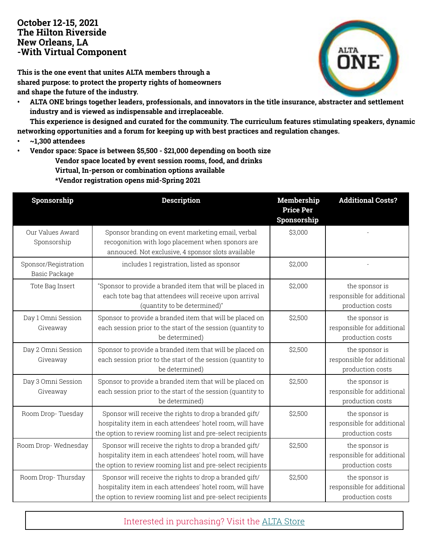### **October 12-15, 2021 The Hilton Riverside New Orleans, LA -With Virtual Component**

**This is the one event that unites ALTA members through a shared purpose: to protect the property rights of homeowners and shape the future of the industry.**

**• ALTA ONE brings together leaders, professionals, and innovators in the title insurance, abstracter and settlement industry and is viewed as indispensable and irreplaceable.**

**This experience is designed and curated for the community. The curriculum features stimulating speakers, dynamic networking opportunities and a forum for keeping up with best practices and regulation changes.**

- **• ~1,300 attendees**
- **• Vendor space: Space is between \$5,500 \$21,000 depending on booth size**
	- **Vendor space located by event session rooms, food, and drinks**
	- **Virtual, In-person or combination options available**

 **\*Vendor registration opens mid-Spring 2021**

| Sponsorship                                  | <b>Description</b>                                                                                                                                                                  | Membership<br><b>Price Per</b><br>Sponsorship | <b>Additional Costs?</b>                                         |
|----------------------------------------------|-------------------------------------------------------------------------------------------------------------------------------------------------------------------------------------|-----------------------------------------------|------------------------------------------------------------------|
| Our Values Award<br>Sponsorship              | Sponsor branding on event marketing email, verbal<br>recogonition with logo placement when sponors are<br>annouced. Not exclusive, 4 sponsor slots available                        | \$3,000                                       |                                                                  |
| Sponsor/Registration<br><b>Basic Package</b> | includes 1 registration, listed as sponsor                                                                                                                                          | \$2,000                                       |                                                                  |
| Tote Bag Insert                              | "Sponsor to provide a branded item that will be placed in<br>each tote bag that attendees will receive upon arrival<br>(quantity to be determined)"                                 | \$2,000                                       | the sponsor is<br>responsible for additional<br>production costs |
| Day 1 Omni Session<br>Giveaway               | Sponsor to provide a branded item that will be placed on<br>each session prior to the start of the session (quantity to<br>be determined)                                           | \$2,500                                       | the sponsor is<br>responsible for additional<br>production costs |
| Day 2 Omni Session<br>Giveaway               | Sponsor to provide a branded item that will be placed on<br>each session prior to the start of the session (quantity to<br>be determined)                                           | \$2,500                                       | the sponsor is<br>responsible for additional<br>production costs |
| Day 3 Omni Session<br>Giveaway               | Sponsor to provide a branded item that will be placed on<br>each session prior to the start of the session (quantity to<br>be determined)                                           | \$2,500                                       | the sponsor is<br>responsible for additional<br>production costs |
| Room Drop-Tuesday                            | Sponsor will receive the rights to drop a branded gift/<br>hospitality item in each attendees' hotel room, will have<br>the option to review rooming list and pre-select recipients | \$2,500                                       | the sponsor is<br>responsible for additional<br>production costs |
| Room Drop-Wednesday                          | Sponsor will receive the rights to drop a branded gift/<br>hospitality item in each attendees' hotel room, will have<br>the option to review rooming list and pre-select recipients | \$2,500                                       | the sponsor is<br>responsible for additional<br>production costs |
| Room Drop-Thursday                           | Sponsor will receive the rights to drop a branded gift/<br>hospitality item in each attendees' hotel room, will have<br>the option to review rooming list and pre-select recipients | \$2,500                                       | the sponsor is<br>responsible for additional<br>production costs |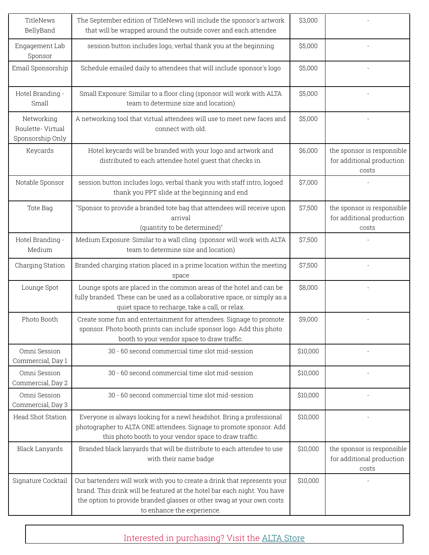| TitleNews<br>BellyBand                             | The September edition of TitleNews will include the sponsor's artwork<br>that will be wrapped around the outside cover and each attendee                                                                                                                    | \$3,000  |                                                                  |
|----------------------------------------------------|-------------------------------------------------------------------------------------------------------------------------------------------------------------------------------------------------------------------------------------------------------------|----------|------------------------------------------------------------------|
| Engagement Lab<br>Sponsor                          | session button includes logo, verbal thank you at the beginning                                                                                                                                                                                             | \$5,000  |                                                                  |
| Email Sponsorship                                  | Schedule emailed daily to attendees that will include sponsor's logo                                                                                                                                                                                        | \$5,000  |                                                                  |
| Hotel Branding -<br>Small                          | Small Exposure: Similar to a floor cling (sponsor will work with ALTA<br>team to determine size and location)                                                                                                                                               | \$5,000  |                                                                  |
| Networking<br>Roulette-Virtual<br>Sponsorship Only | A networking tool that virtual attendees will use to meet new faces and<br>connect with old.                                                                                                                                                                | \$5,000  |                                                                  |
| Keycards                                           | Hotel keycards will be branded with your logo and artwork and<br>distributed to each attendee hotel guest that checks in.                                                                                                                                   | \$6,000  | the sponsor is responsible<br>for additional production<br>costs |
| Notable Sponsor                                    | session button includes logo, verbal thank you with staff intro, logoed<br>thank you PPT slide at the beginning and end                                                                                                                                     | \$7,000  |                                                                  |
| Tote Bag                                           | "Sponsor to provide a branded tote bag that attendees will receive upon<br>arrival<br>(quantity to be determined)"                                                                                                                                          | \$7,500  | the sponsor is responsible<br>for additional production<br>costs |
| Hotel Branding -<br>Medium                         | Medium Exposure: Similar to a wall cling (sponsor will work with ALTA<br>team to determine size and location)                                                                                                                                               | \$7,500  |                                                                  |
| Charging Station                                   | Branded charging station placed in a prime location within the meeting<br>space                                                                                                                                                                             | \$7,500  |                                                                  |
| Lounge Spot                                        | Lounge spots are placed in the common areas of the hotel and can be<br>fully branded. These can be used as a collaborative space, or simply as a<br>quiet space to recharge, take a call, or relax.                                                         | \$8,000  |                                                                  |
| Photo Booth                                        | Create some fun and entertainment for attendees. Signage to promote<br>sponsor. Photo booth prints can include sponsor logo. Add this photo<br>booth to your vendor space to draw traffic.                                                                  | \$9,000  |                                                                  |
| Omni Session<br>Commercial, Day 1                  | 30 - 60 second commercial time slot mid-session                                                                                                                                                                                                             | \$10,000 |                                                                  |
| Omni Session<br>Commercial, Day 2                  | 30 - 60 second commercial time slot mid-session                                                                                                                                                                                                             | \$10,000 |                                                                  |
| Omni Session<br>Commercial, Day 3                  | 30 - 60 second commercial time slot mid-session                                                                                                                                                                                                             | \$10,000 |                                                                  |
| <b>Head Shot Station</b>                           | Everyone is always looking for a newl headshot. Bring a professional<br>photographer to ALTA ONE attendees. Signage to promote sponsor. Add<br>this photo booth to your vendor space to draw traffic.                                                       | \$10,000 |                                                                  |
| Black Lanyards                                     | Branded black lanyards that will be distribute to each attendee to use<br>with their name badge                                                                                                                                                             | \$10,000 | the sponsor is responsible<br>for additional production<br>costs |
| Signature Cocktail                                 | Our bartenders will work with you to create a drink that represents your<br>brand. This drink will be featured at the hotel bar each night. You have<br>the option to provide branded glasses or other swag at your own costs<br>to enhance the experience. | \$10,000 |                                                                  |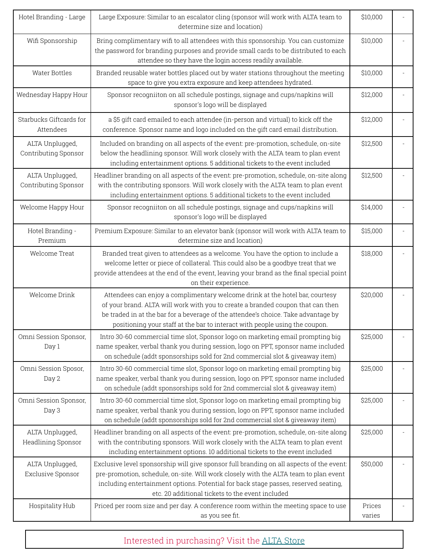| Hotel Branding - Large                  | Large Exposure: Similar to an escalator cling (sponsor will work with ALTA team to<br>determine size and location)                                                                                                                                                                                                                   | \$10,000         |  |
|-----------------------------------------|--------------------------------------------------------------------------------------------------------------------------------------------------------------------------------------------------------------------------------------------------------------------------------------------------------------------------------------|------------------|--|
| Wifi Sponsorship                        | Bring complimentary wifi to all attendees with this sponsorship. You can customize<br>the password for branding purposes and provide small cards to be distributed to each<br>attendee so they have the login access readily available.                                                                                              | \$10,000         |  |
| Water Bottles                           | Branded reusable water bottles placed out by water stations throughout the meeting<br>space to give you extra exposure and keep attendees hydrated.                                                                                                                                                                                  | \$10,000         |  |
| Wednesday Happy Hour                    | Sponsor recogniiton on all schedule postings, signage and cups/napkins will<br>sponsor's logo will be displayed                                                                                                                                                                                                                      | \$12,000         |  |
| Starbucks Giftcards for<br>Attendees    | a \$5 gift card emailed to each attendee (in-person and virtual) to kick off the<br>conference. Sponsor name and logo included on the gift card email distribution.                                                                                                                                                                  | \$12,000         |  |
| ALTA Unplugged,<br>Contributing Sponsor | Included on branding on all aspects of the event: pre-promotion, schedule, on-site<br>below the headlining sponsor. Will work closely with the ALTA team to plan event<br>including entertainment options. 5 additional tickets to the event included                                                                                | \$12,500         |  |
| ALTA Unplugged,<br>Contributing Sponsor | Headliner branding on all aspects of the event: pre-promotion, schedule, on-site along<br>with the contributing sponsors. Will work closely with the ALTA team to plan event<br>including entertainment options. 5 additional tickets to the event included                                                                          | \$12,500         |  |
| Welcome Happy Hour                      | Sponsor recogniiton on all schedule postings, signage and cups/napkins will<br>sponsor's logo will be displayed                                                                                                                                                                                                                      | \$14,000         |  |
| Hotel Branding -<br>Premium             | Premium Exposure: Similar to an elevator bank (sponsor will work with ALTA team to<br>determine size and location)                                                                                                                                                                                                                   | \$15,000         |  |
| Welcome Treat                           | Branded treat given to attendees as a welcome. You have the option to include a<br>welcome letter or piece of collateral. This could also be a goodbye treat that we<br>provide attendees at the end of the event, leaving your brand as the final special point<br>on their experience.                                             | \$18,000         |  |
| Welcome Drink                           | Attendees can enjoy a complimentary welcome drink at the hotel bar, courtesy<br>of your brand. ALTA will work with you to create a branded coupon that can then<br>be traded in at the bar for a beverage of the attendee's choice. Take advantage by<br>positioning your staff at the bar to interact with people using the coupon. | \$20,000         |  |
| Omni Session Sponsor,<br>Day 1          | Intro 30-60 commercial time slot, Sponsor logo on marketing email prompting big<br>name speaker, verbal thank you during session, logo on PPT, sponsor name included<br>on schedule (addt sponsorships sold for 2nd commercial slot & giveaway item)                                                                                 | \$25,000         |  |
| Omni Session Sposor,<br>Day 2           | Intro 30-60 commercial time slot, Sponsor logo on marketing email prompting big<br>name speaker, verbal thank you during session, logo on PPT, sponsor name included<br>on schedule (addt sponsorships sold for 2nd commercial slot & giveaway item)                                                                                 | \$25,000         |  |
| Omni Session Sponsor,<br>Day 3          | Intro 30-60 commercial time slot, Sponsor logo on marketing email prompting big<br>name speaker, verbal thank you during session, logo on PPT, sponsor name included<br>on schedule (addt sponsorships sold for 2nd commercial slot & giveaway item)                                                                                 | \$25,000         |  |
| ALTA Unplugged,<br>Headlining Sponsor   | Headliner branding on all aspects of the event: pre-promotion, schedule, on-site along<br>with the contributing sponsors. Will work closely with the ALTA team to plan event<br>including entertainment options. 10 additional tickets to the event included                                                                         | \$25,000         |  |
| ALTA Unplugged,<br>Exclusive Sponsor    | Exclusive level sponsorship will give sponsor full branding on all aspects of the event:<br>pre-promotion, schedule, on-site. Will work closely with the ALTA team to plan event<br>including entertainment options. Potential for back stage passes, reserved seating,<br>etc. 20 additional tickets to the event included          | \$50,000         |  |
| Hospitality Hub                         | Priced per room size and per day. A conference room within the meeting space to use<br>as you see fit.                                                                                                                                                                                                                               | Prices<br>varies |  |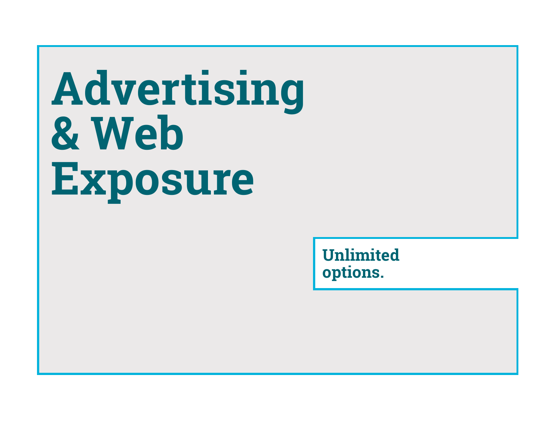# **Advertising & Web Exposure**

**Unlimited options.**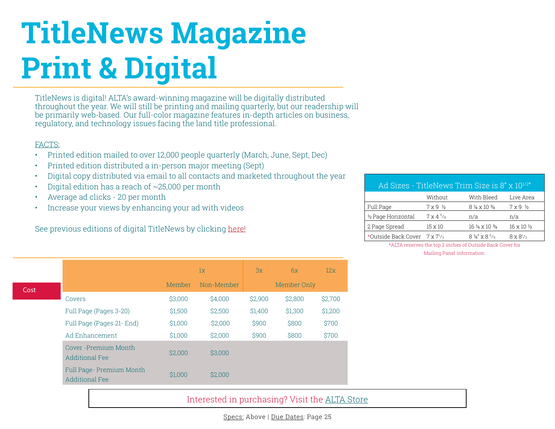### **TitleNews Magazine Print & Digital**

TitleNews is digital! ALTA's award-winning magazine will be digitally distributed throughout the year. We will still be printing and mailing quarterly, but our readership will be primarily web-based. Our full-color magazine features in-depth articles on business, regulatory, and technology issues facing the land title professional.

#### FACTS:

- Printed edition mailed to over 12,000 people quarterly (March, June, Sept, Dec)
- Printed edition distributed a in-person major meeting (Sept)
- Digital copy distributed via email to all contacts and marketed throughout the year
- Digital edition has a reach of  $\sim$  25,000 per month
- Average ad clicks 20 per month
- Increase your views by enhancing your ad with videos

See previous editions of digital TitleNews by clicking [here!](https://www.alta.org/title-news/)

| Ad Sizes - TitleNews Trim Size is 8" x 10 <sup>1/2"</sup> |                            |                                 |                            |  |  |  |
|-----------------------------------------------------------|----------------------------|---------------------------------|----------------------------|--|--|--|
|                                                           | Without                    | With Bleed                      | Live Area                  |  |  |  |
| Full Page                                                 | $7 \times 9$ $\frac{1}{2}$ | $8\% \times 10\%$               | $7 \times 9$ $\frac{1}{2}$ |  |  |  |
| 1/2 Page Horizontal                                       | $7 \times 4^{5}/8$         | n/a                             | n/a                        |  |  |  |
| 2 Page Spread                                             | $15 \times 10$             | $16\% \times 10\%$              | $16 \times 10 \frac{1}{2}$ |  |  |  |
| *Outside Back Cover $7 \times 7^{1/2}$                    |                            | $8\frac{1}{4}$ x $8\frac{5}{8}$ | $8 \times 8^{1/2}$         |  |  |  |

\*ALTA reserves the top 2 inches of Outside Back Cover for Mailing Panel information.

Cost  $1x$  3x 6x 12x Member Non-Member Member Only Covers \$3,000 \$4,000 \$2,900 \$2,800 \$2,700 Full Page (Pages 3-20) \$1,500 \$2,500 \$1,400 \$1,300 \$1,200 Full Page (Pages 21- End) \$1,000 \$2,000 \$900 \$800 \$700 Ad Enhancement  $$1,000$  \$2,000 \$900 \$800 \$700 Cover -Premium Month ester Fremmann mondi.<br>
\$2,000 \$3,000<br>
Additional Fee Full Page- Premium Month Additional Fee **\$1,000** \$2,000

### Interested in purchasing? Visit the [ALTA Store](https://portal.alta.org/online-store/merchandise?category=alta%20store)

Specs: Above | Due Dates: Page 25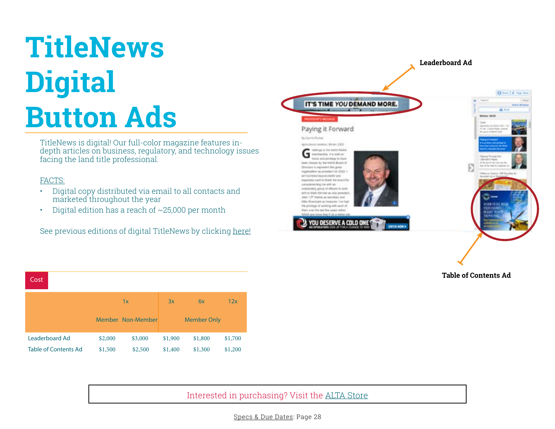### **TitleNews Digital Button Ads**

TitleNews is digital! Our full-color magazine features indepth articles on business, regulatory, and technology issues facing the land title professional.

#### FACTS:

- Digital copy distributed via email to all contacts and marketed throughout the year
- Digital edition has a reach of ~25,000 per month

See previous editions of digital TitleNews by clicking [here!](https://www.alta.org/title-news/)



**Table of Contents Ad**

| Cost                        |         |                   |         |                    |         |
|-----------------------------|---------|-------------------|---------|--------------------|---------|
|                             |         | 1x                | 3x      | 6x                 | 12x     |
|                             |         | Member Non-Member |         | <b>Member Only</b> |         |
| Leaderboard Ad              | \$2,000 | \$3,000           | \$1,900 | \$1,800            | \$1,700 |
| <b>Table of Contents Ad</b> | \$1,500 | \$2,500           | \$1,400 | \$1,300            | \$1,200 |

Interested in purchasing? Visit the [ALTA Store](https://portal.alta.org/online-store/merchandise?category=alta%20store)

Specs & Due Dates: Page 28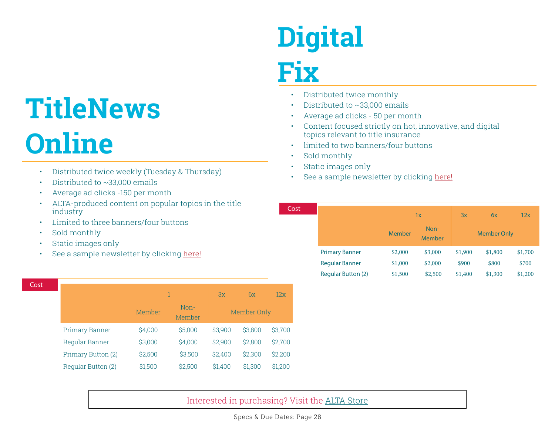### **TitleNews Online**

- Distributed twice weekly (Tuesday & Thursday)
- Distributed to ~33,000 emails
- Average ad clicks -150 per month
- ALTA-produced content on popular topics in the title industry
- Limited to three banners/four buttons
- Sold monthly
- Static images only
- See a sample newsletter by clicking [here!](https://www.alta.org/email/titlenews/021419.htm)

| Cost |                       |         |                | 3x      | 6x          | 12x     |
|------|-----------------------|---------|----------------|---------|-------------|---------|
|      |                       | Member  | Non-<br>Member |         | Member Only |         |
|      | <b>Primary Banner</b> | \$4,000 | \$5,000        | \$3,900 | \$3,800     | \$3,700 |
|      | Regular Banner        | \$3,000 | \$4,000        | \$2,900 | \$2,800     | \$2,700 |
|      | Primary Button (2)    | \$2,500 | \$3,500        | \$2.400 | \$2,300     | \$2,200 |
|      | Regular Button (2)    | \$1,500 | \$2,500        | \$1.400 | \$1,300     | \$1,200 |

### **Digital Fix**

- Distributed twice monthly
- Distributed to ~33,000 emails
- Average ad clicks 50 per month
- Content focused strictly on hot, innovative, and digital topics relevant to title insurance
- limited to two banners/four buttons
- Sold monthly

Cost

- Static images only
- See a sample newsletter by clicking [here!](https://www.alta.org/email/digitalfix/111319.htm)

|                           | 1x            |                | 3x                 | 6x      | 12x     |
|---------------------------|---------------|----------------|--------------------|---------|---------|
|                           | <b>Member</b> | Non-<br>Member | <b>Member Only</b> |         |         |
| <b>Primary Banner</b>     | \$2,000       | \$3,000        | \$1,900            | \$1,800 | \$1,700 |
| <b>Regular Banner</b>     | \$1,000       | \$2,000        | \$900              | \$800   | \$700   |
| <b>Regular Button (2)</b> | \$1,500       | \$2,500        | \$1,400            | \$1,300 | \$1,200 |

### Interested in purchasing? Visit the [ALTA Store](https://portal.alta.org/online-store/merchandise?category=alta%20store)

Specs & Due Dates: Page 28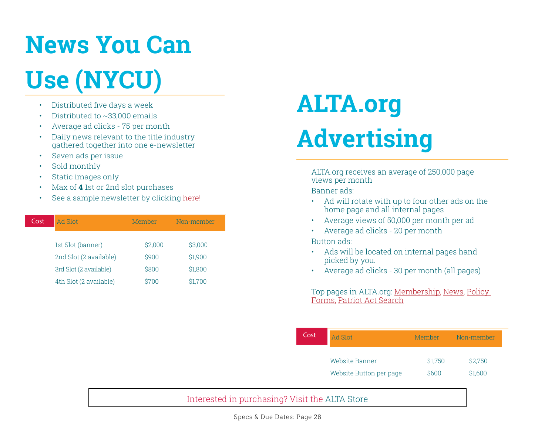### **News You Can Use (NYCU)**

- Distributed five days a week
- Distributed to ~33,000 emails
- Average ad clicks 75 per month
- Daily news relevant to the title industry gathered together into one e-newsletter
- Seven ads per issue
- Sold monthly
- Static images only
- Max of **4** 1st or 2nd slot purchases
- See a sample newsletter by clicking [here!](https://www.alta.org/email/news/NYCU180312.htm)

| Cost | Ad Slot                | Member  | Non-member |
|------|------------------------|---------|------------|
|      | 1st Slot (banner)      | \$2,000 | \$3,000    |
|      | 2nd Slot (2 available) | \$900   | \$1,900    |
|      | 3rd Slot (2 available) | \$800   | \$1,800    |
|      | 4th Slot (2 available) | \$700   | \$1,700    |

### **ALTA.org Advertising**

ALTA.org receives an average of 250,000 page views per month Banner ads:

- Ad will rotate with up to four other ads on the home page and all internal pages
- Average views of 50,000 per month per ad
- Average ad clicks 20 per month

#### Button ads:

- Ads will be located on internal pages hand picked by you.
- Average ad clicks 30 per month (all pages)

Top pages in ALTA.org: M[embership,](https://www.alta.org/membership/membership-benefits.cfm) [News](https://www.alta.org/publications/press-releases.cfm), [Policy](https://www.alta.org/policy-forms/)  [Forms,](https://www.alta.org/policy-forms/) [Patriot Act Search](https://www.alta.org/patriot-act-search/)

| Cost | Ad Slot                 | Member  | Non-member |
|------|-------------------------|---------|------------|
|      | Website Banner          | \$1,750 | \$2,750    |
|      | Website Button per page | \$600   | \$1,600    |

### Interested in purchasing? Visit the [ALTA Store](https://portal.alta.org/online-store/merchandise?category=alta%20store)

Specs & Due Dates: Page 28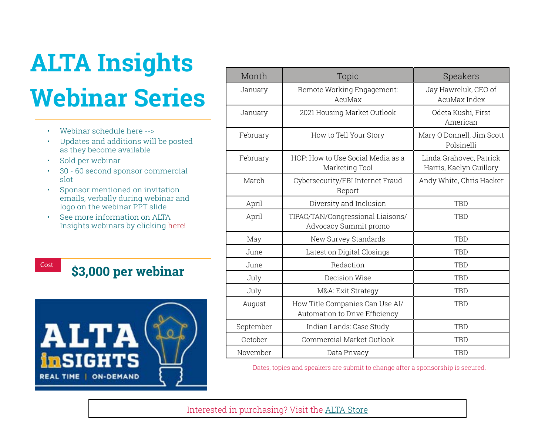### **ALTA Insights Webinar Series**

- Webinar schedule here -->
- Updates and additions will be posted as they become available
- Sold per webinar
- 30 60 second sponsor commercial slot
- Sponsor mentioned on invitation emails, verbally during webinar and logo on the webinar PPT slide
- See more information on ALTA Insights webinars by clicking [here!](https://www.alta.org/education/webinars.cfm)

### Cost **\$3,000 per webinar**



| Month     | Topic                                                             | Speakers                                           |
|-----------|-------------------------------------------------------------------|----------------------------------------------------|
| January   | Remote Working Engagement:<br>AcuMax                              | Jay Hawreluk, CEO of<br>AcuMax Index               |
| January   | 2021 Housing Market Outlook                                       | Odeta Kushi, First<br>American                     |
| February  | How to Tell Your Story                                            | Mary O'Donnell, Jim Scott<br>Polsinelli            |
| February  | HOP: How to Use Social Media as a<br>Marketing Tool               | Linda Grahovec, Patrick<br>Harris, Kaelyn Guillory |
| March     | Cybersecurity/FBI Internet Fraud<br>Report                        | Andy White, Chris Hacker                           |
| April     | Diversity and Inclusion                                           | TBD                                                |
| April     | TIPAC/TAN/Congressional Liaisons/<br>Advocacy Summit promo        | TBD                                                |
| May       | New Survey Standards                                              | <b>TBD</b>                                         |
| June      | Latest on Digital Closings                                        | <b>TBD</b>                                         |
| June      | Redaction                                                         | <b>TBD</b>                                         |
| July      | Decision Wise                                                     | <b>TBD</b>                                         |
| July      | M&A: Exit Strategy                                                | <b>TBD</b>                                         |
| August    | How Title Companies Can Use AI/<br>Automation to Drive Efficiency | TBD                                                |
| September | Indian Lands: Case Study                                          | <b>TBD</b>                                         |
| October   | Commercial Market Outlook                                         | <b>TBD</b>                                         |
| November  | Data Privacy                                                      | TBD                                                |

Dates, topics and speakers are submit to change after a sponsorship is secured.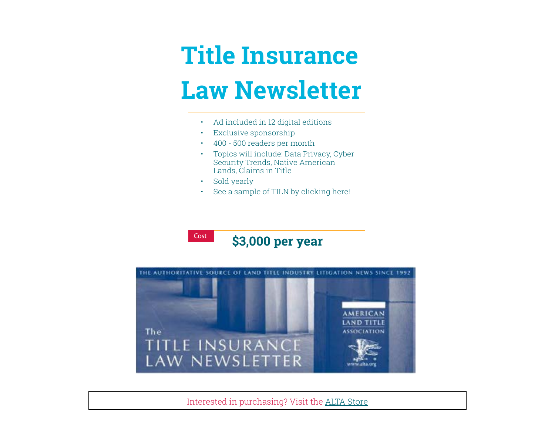### **Title Insurance Law Newsletter**

- Ad included in 12 digital editions
- Exclusive sponsorship
- 400 500 readers per month
- [Topics will include: Data Privacy, Cyber](http://https://www.alta.org/media/PDF/title-insurance-law-newsletter-october-2020.pdf)  Security Trends, Native American Lands, Claims in Title
- Sold yearly
- See a sample of TILN by clicking [here!](https://www.alta.org/media/PDF/title-insurance-law-newsletter-october-2020.pdf)